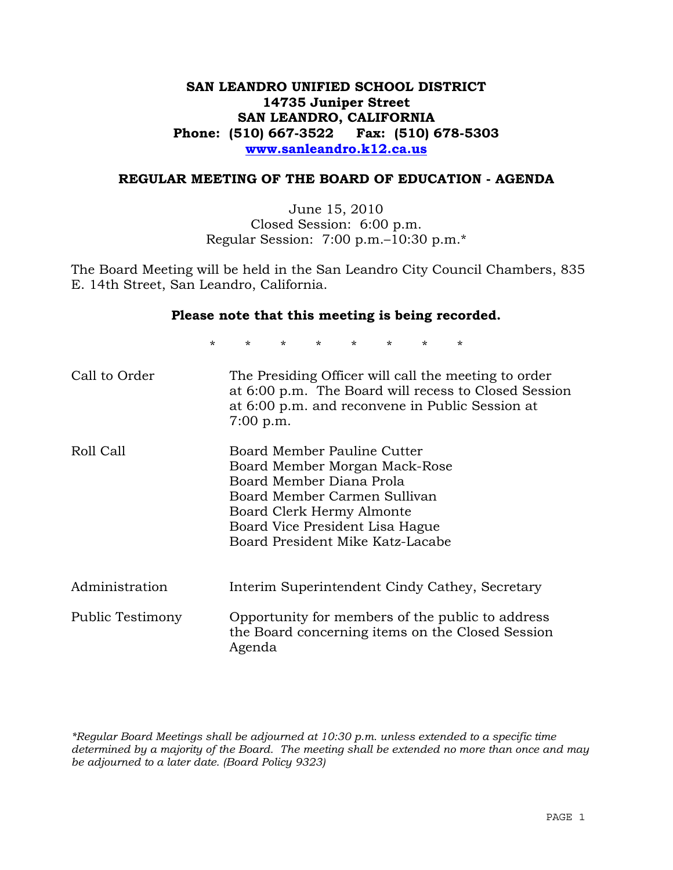## **SAN LEANDRO UNIFIED SCHOOL DISTRICT 14735 Juniper Street SAN LEANDRO, CALIFORNIA Phone: (510) 667-3522 Fax: (510) 678-5303 www.sanleandro.k12.ca.us**

#### **REGULAR MEETING OF THE BOARD OF EDUCATION - AGENDA**

June 15, 2010 Closed Session: 6:00 p.m. Regular Session: 7:00 p.m.–10:30 p.m.\*

The Board Meeting will be held in the San Leandro City Council Chambers, 835 E. 14th Street, San Leandro, California.

#### **Please note that this meeting is being recorded.**

\* \* \* \* \* \* \* \*

| Call to Order    | The Presiding Officer will call the meeting to order<br>at 6:00 p.m. The Board will recess to Closed Session<br>at 6:00 p.m. and reconvene in Public Session at<br>$7:00$ p.m.                                               |
|------------------|------------------------------------------------------------------------------------------------------------------------------------------------------------------------------------------------------------------------------|
| Roll Call        | Board Member Pauline Cutter<br>Board Member Morgan Mack-Rose<br>Board Member Diana Prola<br>Board Member Carmen Sullivan<br>Board Clerk Hermy Almonte<br>Board Vice President Lisa Hague<br>Board President Mike Katz-Lacabe |
| Administration   | Interim Superintendent Cindy Cathey, Secretary                                                                                                                                                                               |
| Public Testimony | Opportunity for members of the public to address<br>the Board concerning items on the Closed Session<br>Agenda                                                                                                               |

*\*Regular Board Meetings shall be adjourned at 10:30 p.m. unless extended to a specific time determined by a majority of the Board. The meeting shall be extended no more than once and may be adjourned to a later date. (Board Policy 9323)*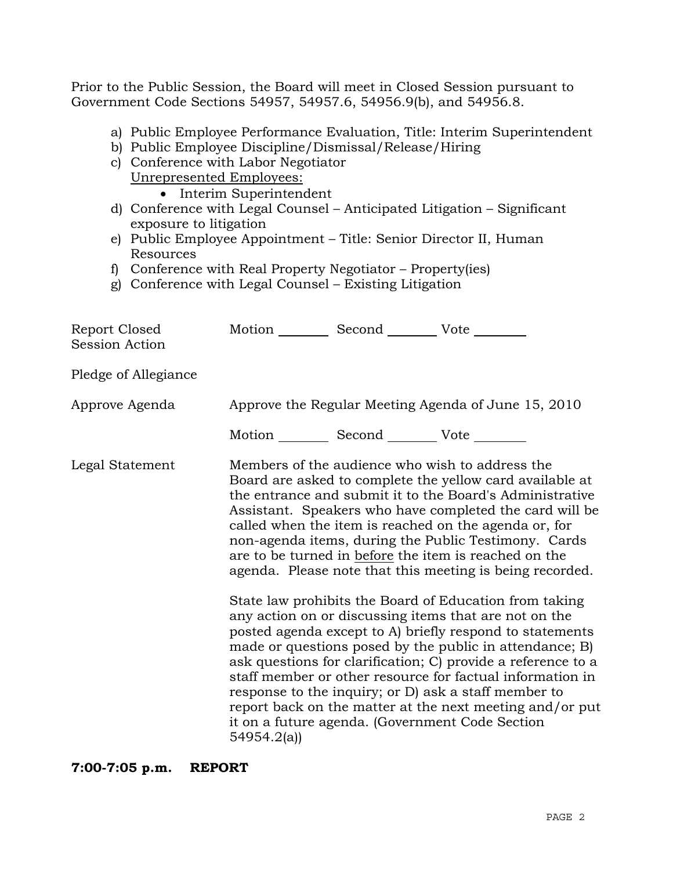Prior to the Public Session, the Board will meet in Closed Session pursuant to Government Code Sections 54957, 54957.6, 54956.9(b), and 54956.8.

- a) Public Employee Performance Evaluation, Title: Interim Superintendent
- b) Public Employee Discipline/Dismissal/Release/Hiring
- c) Conference with Labor Negotiator
	- Unrepresented Employees:
		- Interim Superintendent
- d) Conference with Legal Counsel Anticipated Litigation Significant exposure to litigation
- e) Public Employee Appointment Title: Senior Director II, Human Resources
- f) Conference with Real Property Negotiator Property(ies)
- g) Conference with Legal Counsel Existing Litigation

| Report Closed<br>Session Action | Motion __________ Second __________ Vote ________ |                                                                                                                                                                                                                                                                                                                                                                                                                                                                                                                                                                                                                                                                                                                                                                                                                                                                                                                                                                                                                        |
|---------------------------------|---------------------------------------------------|------------------------------------------------------------------------------------------------------------------------------------------------------------------------------------------------------------------------------------------------------------------------------------------------------------------------------------------------------------------------------------------------------------------------------------------------------------------------------------------------------------------------------------------------------------------------------------------------------------------------------------------------------------------------------------------------------------------------------------------------------------------------------------------------------------------------------------------------------------------------------------------------------------------------------------------------------------------------------------------------------------------------|
| Pledge of Allegiance            |                                                   |                                                                                                                                                                                                                                                                                                                                                                                                                                                                                                                                                                                                                                                                                                                                                                                                                                                                                                                                                                                                                        |
| Approve Agenda                  |                                                   | Approve the Regular Meeting Agenda of June 15, 2010                                                                                                                                                                                                                                                                                                                                                                                                                                                                                                                                                                                                                                                                                                                                                                                                                                                                                                                                                                    |
|                                 | Motion __________ Second __________ Vote ________ |                                                                                                                                                                                                                                                                                                                                                                                                                                                                                                                                                                                                                                                                                                                                                                                                                                                                                                                                                                                                                        |
| Legal Statement                 | 54954.2(a)                                        | Members of the audience who wish to address the<br>Board are asked to complete the yellow card available at<br>the entrance and submit it to the Board's Administrative<br>Assistant. Speakers who have completed the card will be<br>called when the item is reached on the agenda or, for<br>non-agenda items, during the Public Testimony. Cards<br>are to be turned in before the item is reached on the<br>agenda. Please note that this meeting is being recorded.<br>State law prohibits the Board of Education from taking<br>any action on or discussing items that are not on the<br>posted agenda except to A) briefly respond to statements<br>made or questions posed by the public in attendance; B)<br>ask questions for clarification; C) provide a reference to a<br>staff member or other resource for factual information in<br>response to the inquiry; or D) ask a staff member to<br>report back on the matter at the next meeting and/or put<br>it on a future agenda. (Government Code Section |

**7:00-7:05 p.m. REPORT**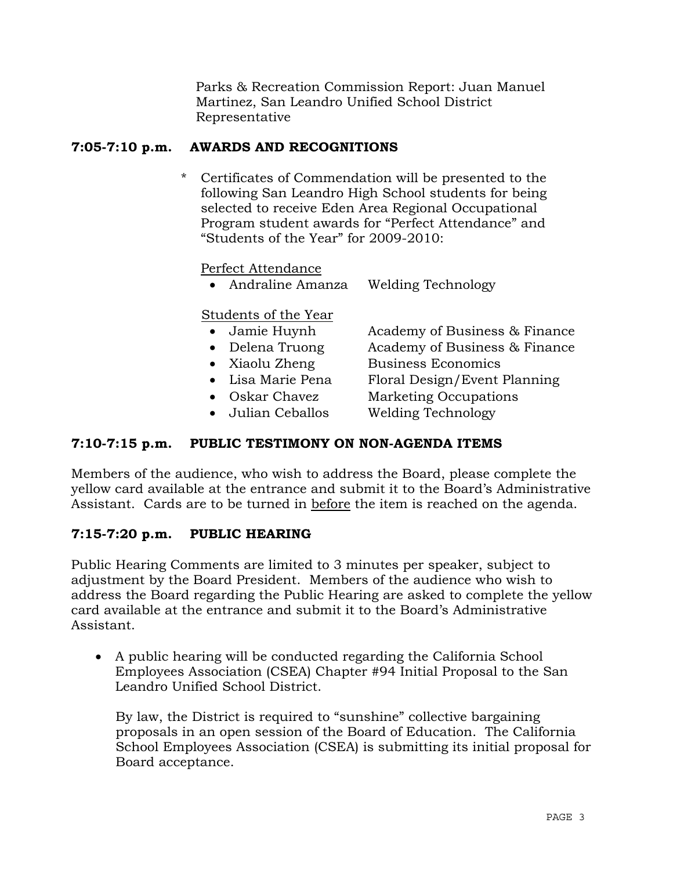Parks & Recreation Commission Report: Juan Manuel Martinez, San Leandro Unified School District Representative

## **7:05-7:10 p.m. AWARDS AND RECOGNITIONS**

\* Certificates of Commendation will be presented to the following San Leandro High School students for being selected to receive Eden Area Regional Occupational Program student awards for "Perfect Attendance" and "Students of the Year" for 2009-2010:

Perfect Attendance

Andraline Amanza Welding Technology

## Students of the Year

- Jamie Huynh Academy of Business & Finance
- 
- 
- 
- 
- 
- Delena Truong Academy of Business & Finance
- Xiaolu Zheng Business Economics
- Lisa Marie Pena Floral Design/Event Planning
- Oskar Chavez Marketing Occupations
- Julian Ceballos Welding Technology

## **7:10-7:15 p.m. PUBLIC TESTIMONY ON NON-AGENDA ITEMS**

Members of the audience, who wish to address the Board, please complete the yellow card available at the entrance and submit it to the Board's Administrative Assistant. Cards are to be turned in before the item is reached on the agenda.

## **7:15-7:20 p.m. PUBLIC HEARING**

Public Hearing Comments are limited to 3 minutes per speaker, subject to adjustment by the Board President. Members of the audience who wish to address the Board regarding the Public Hearing are asked to complete the yellow card available at the entrance and submit it to the Board's Administrative Assistant.

 A public hearing will be conducted regarding the California School Employees Association (CSEA) Chapter #94 Initial Proposal to the San Leandro Unified School District.

 By law, the District is required to "sunshine" collective bargaining proposals in an open session of the Board of Education. The California School Employees Association (CSEA) is submitting its initial proposal for Board acceptance.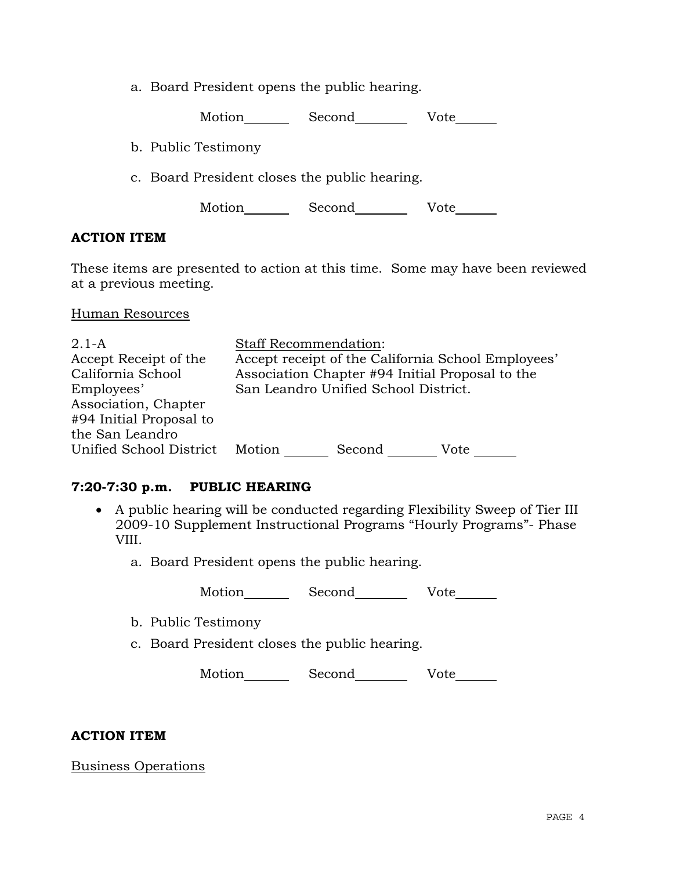a. Board President opens the public hearing.

Motion Second Vote

b. Public Testimony

c. Board President closes the public hearing.

Motion Second Vote

### **ACTION ITEM**

These items are presented to action at this time. Some may have been reviewed at a previous meeting.

#### Human Resources

| $2.1-A$                 | <b>Staff Recommendation:</b>                       |  |  |  |
|-------------------------|----------------------------------------------------|--|--|--|
| Accept Receipt of the   | Accept receipt of the California School Employees' |  |  |  |
| California School       | Association Chapter #94 Initial Proposal to the    |  |  |  |
| Employees'              | San Leandro Unified School District.               |  |  |  |
| Association, Chapter    |                                                    |  |  |  |
| #94 Initial Proposal to |                                                    |  |  |  |
| the San Leandro         |                                                    |  |  |  |
| Unified School District | Motion<br>Second<br>Vote                           |  |  |  |

## **7:20-7:30 p.m. PUBLIC HEARING**

- A public hearing will be conducted regarding Flexibility Sweep of Tier III 2009-10 Supplement Instructional Programs "Hourly Programs"- Phase VIII.
	- a. Board President opens the public hearing.

Motion Second Vote

- b. Public Testimony
- c. Board President closes the public hearing.

Motion Second Vote

#### **ACTION ITEM**

Business Operations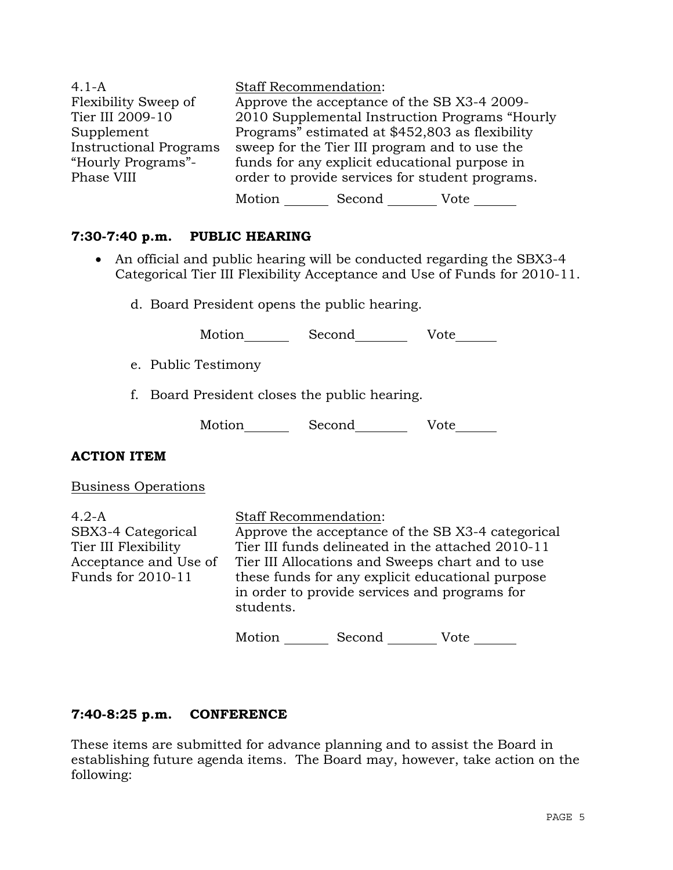| $4.1 - A$                     | <b>Staff Recommendation:</b>                    |        |                                                |  |
|-------------------------------|-------------------------------------------------|--------|------------------------------------------------|--|
| Flexibility Sweep of          | Approve the acceptance of the SB X3-4 2009-     |        |                                                |  |
| Tier III 2009-10              |                                                 |        | 2010 Supplemental Instruction Programs "Hourly |  |
| Supplement                    | Programs" estimated at \$452,803 as flexibility |        |                                                |  |
| <b>Instructional Programs</b> | sweep for the Tier III program and to use the   |        |                                                |  |
| "Hourly Programs"-            | funds for any explicit educational purpose in   |        |                                                |  |
| Phase VIII                    | order to provide services for student programs. |        |                                                |  |
|                               | Motion                                          | Second | Vote                                           |  |

### **7:30-7:40 p.m. PUBLIC HEARING**

- An official and public hearing will be conducted regarding the SBX3-4 Categorical Tier III Flexibility Acceptance and Use of Funds for 2010-11.
	- d. Board President opens the public hearing.

Motion Second Vote

- e. Public Testimony
- f. Board President closes the public hearing.

| Motion | Second | Vote |
|--------|--------|------|
|--------|--------|------|

#### **ACTION ITEM**

Business Operations

4.2-A SBX3-4 Categorical Tier III Flexibility Acceptance and Use of Funds for 2010-11 Staff Recommendation: Approve the acceptance of the SB X3-4 categorical Tier III funds delineated in the attached 2010-11 Tier III Allocations and Sweeps chart and to use these funds for any explicit educational purpose in order to provide services and programs for students. Motion Second Vote

#### **7:40-8:25 p.m. CONFERENCE**

These items are submitted for advance planning and to assist the Board in establishing future agenda items. The Board may, however, take action on the following: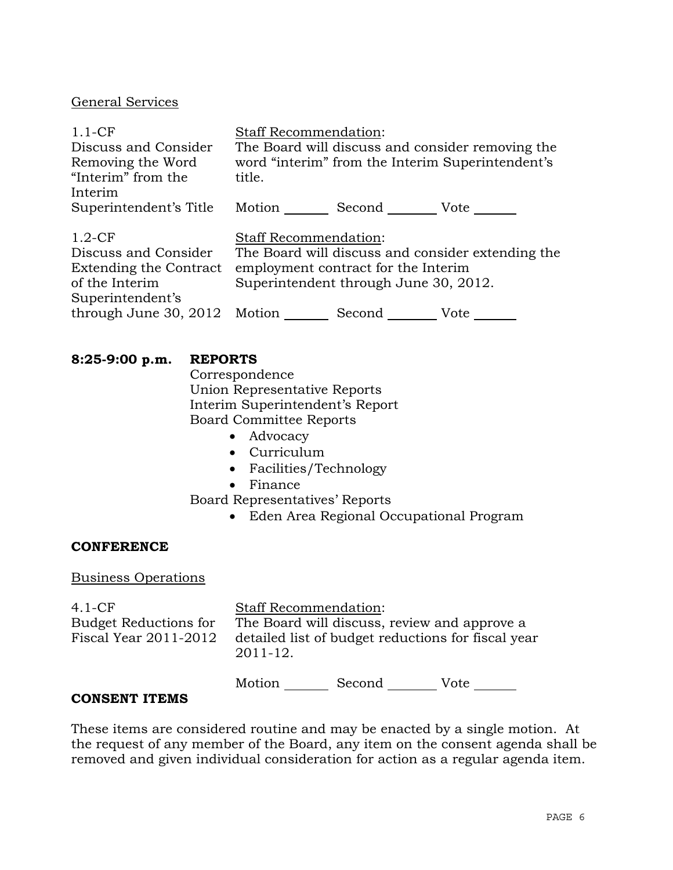### General Services

| $1.1-CF$                     | <b>Staff Recommendation:</b>                     |                                            |                                                   |  |
|------------------------------|--------------------------------------------------|--------------------------------------------|---------------------------------------------------|--|
| Discuss and Consider         | The Board will discuss and consider removing the |                                            |                                                   |  |
| Removing the Word            |                                                  |                                            | word "interim" from the Interim Superintendent's  |  |
| "Interim" from the           | title.                                           |                                            |                                                   |  |
| Interim                      |                                                  |                                            |                                                   |  |
| Superintendent's Title       |                                                  | Motion ______ Second _________ Vote ______ |                                                   |  |
|                              |                                                  |                                            |                                                   |  |
| $1.2-CF$                     | <b>Staff Recommendation:</b>                     |                                            |                                                   |  |
| Discuss and Consider         |                                                  |                                            | The Board will discuss and consider extending the |  |
| Extending the Contract       | employment contract for the Interim              |                                            |                                                   |  |
| of the Interim               | Superintendent through June 30, 2012.            |                                            |                                                   |  |
| Superintendent's             |                                                  |                                            |                                                   |  |
| through June 30, 2012 Motion |                                                  | Second                                     | Vote                                              |  |

### **8:25-9:00 p.m. REPORTS**

 Correspondence Union Representative Reports Interim Superintendent's Report Board Committee Reports

- Advocacy
- Curriculum
- Facilities/Technology
- Finance

Board Representatives' Reports

Eden Area Regional Occupational Program

#### **CONFERENCE**

# Business Operations

| $4.1-CF$<br>Budget Reductions for<br>Fiscal Year 2011-2012 | <b>Staff Recommendation:</b><br>The Board will discuss, review and approve a<br>detailed list of budget reductions for fiscal year<br>2011-12. |        |      |  |
|------------------------------------------------------------|------------------------------------------------------------------------------------------------------------------------------------------------|--------|------|--|
|                                                            | Motion                                                                                                                                         | Second | Vote |  |

#### **CONSENT ITEMS**

These items are considered routine and may be enacted by a single motion. At the request of any member of the Board, any item on the consent agenda shall be removed and given individual consideration for action as a regular agenda item.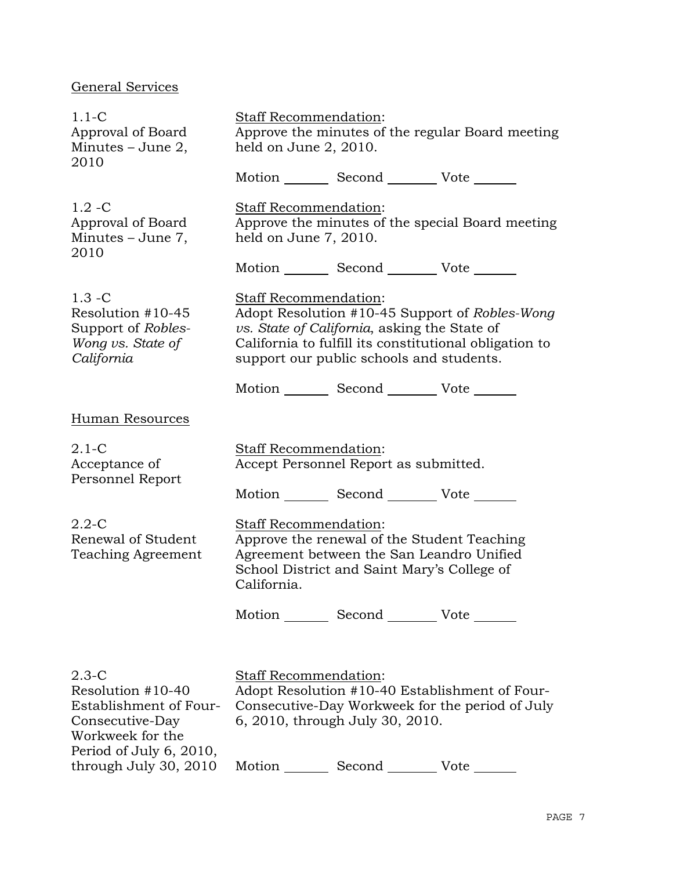# General Services

| $1.1-C$<br>Approval of Board<br>Minutes $-$ June 2,<br>2010                                                                | Staff Recommendation:<br>Approve the minutes of the regular Board meeting<br>held on June 2, 2010. |                                                                                          |                                                                                                          |
|----------------------------------------------------------------------------------------------------------------------------|----------------------------------------------------------------------------------------------------|------------------------------------------------------------------------------------------|----------------------------------------------------------------------------------------------------------|
|                                                                                                                            |                                                                                                    | Motion _________ Second _________ Vote _______                                           |                                                                                                          |
| $1.2 - C$<br>Approval of Board<br>Minutes $-$ June 7,<br>2010                                                              | Staff Recommendation:<br>held on June 7, 2010.                                                     |                                                                                          | Approve the minutes of the special Board meeting                                                         |
|                                                                                                                            |                                                                                                    | Motion _________ Second __________ Vote _______                                          |                                                                                                          |
| $1.3 - C$<br>Resolution #10-45<br>Support of Robles-<br>Wong vs. State of<br>California                                    | Staff Recommendation:                                                                              | vs. State of California, asking the State of<br>support our public schools and students. | Adopt Resolution #10-45 Support of Robles-Wong<br>California to fulfill its constitutional obligation to |
|                                                                                                                            |                                                                                                    | Motion _________ Second __________ Vote _______                                          |                                                                                                          |
| Human Resources                                                                                                            |                                                                                                    |                                                                                          |                                                                                                          |
| $2.1-C$<br>Acceptance of<br>Personnel Report                                                                               | Staff Recommendation:                                                                              | Accept Personnel Report as submitted.                                                    |                                                                                                          |
|                                                                                                                            |                                                                                                    | Motion Second Vote                                                                       |                                                                                                          |
| $2.2 - C$<br>Renewal of Student<br>Teaching Agreement                                                                      | Staff Recommendation:<br>California.                                                               | Agreement between the San Leandro Unified<br>School District and Saint Mary's College of | Approve the renewal of the Student Teaching                                                              |
|                                                                                                                            |                                                                                                    | Motion Second Vote                                                                       |                                                                                                          |
| $2.3 - C$<br>Resolution #10-40<br>Establishment of Four-<br>Consecutive-Day<br>Workweek for the<br>Period of July 6, 2010, | Staff Recommendation:                                                                              | 6, 2010, through July 30, 2010.                                                          | Adopt Resolution #10-40 Establishment of Four-<br>Consecutive-Day Workweek for the period of July        |
| through July 30, 2010                                                                                                      | Motion                                                                                             | Second                                                                                   | Vote                                                                                                     |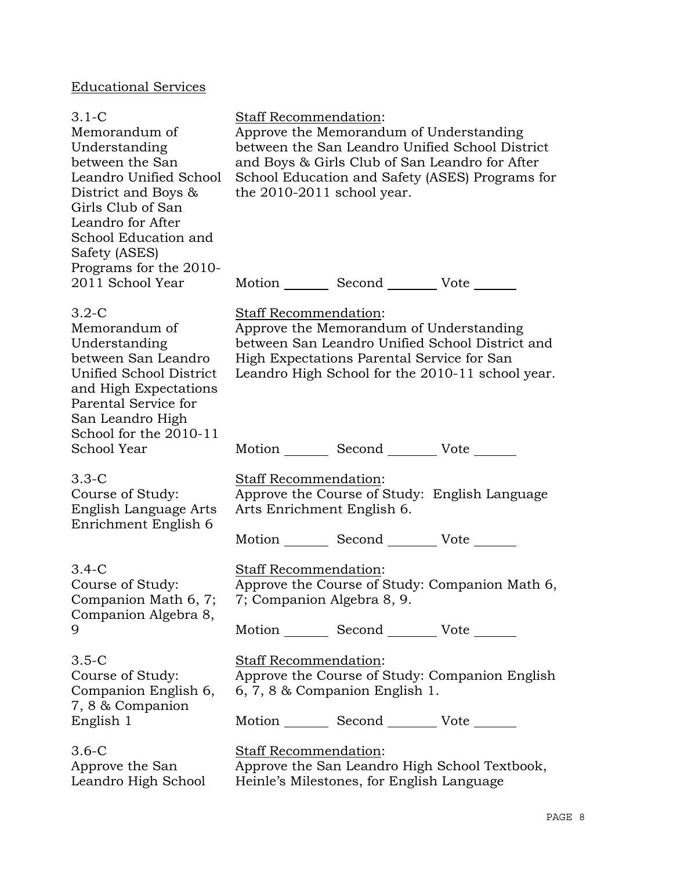# Educational Services

| $3.1-C$<br>Memorandum of<br>Understanding<br>between the San<br>Leandro Unified School<br>District and Boys &<br>Girls Club of San<br>Leandro for After<br>School Education and<br>Safety (ASES) | Staff Recommendation:<br>Approve the Memorandum of Understanding<br>and Boys & Girls Club of San Leandro for After<br>the 2010-2011 school year. | between the San Leandro Unified School District<br>School Education and Safety (ASES) Programs for  |
|--------------------------------------------------------------------------------------------------------------------------------------------------------------------------------------------------|--------------------------------------------------------------------------------------------------------------------------------------------------|-----------------------------------------------------------------------------------------------------|
| Programs for the 2010-<br>2011 School Year                                                                                                                                                       | Motion _________ Second __________ Vote _______                                                                                                  |                                                                                                     |
| $3.2-C$<br>Memorandum of<br>Understanding<br>between San Leandro<br>Unified School District<br>and High Expectations<br>Parental Service for<br>San Leandro High                                 | <b>Staff Recommendation:</b><br>Approve the Memorandum of Understanding<br>High Expectations Parental Service for San                            | between San Leandro Unified School District and<br>Leandro High School for the 2010-11 school year. |
| School for the 2010-11<br>School Year                                                                                                                                                            | Motion Second Vote                                                                                                                               |                                                                                                     |
| $3.3-C$<br>Course of Study:<br>English Language Arts<br>Enrichment English 6                                                                                                                     | Staff Recommendation:<br>Approve the Course of Study: English Language<br>Arts Enrichment English 6.                                             |                                                                                                     |
|                                                                                                                                                                                                  | Motion _________ Second __________ Vote _______                                                                                                  |                                                                                                     |
| $3.4-C$<br>Course of Study:<br>Companion Math 6, 7;<br>Companion Algebra 8,                                                                                                                      | Staff Recommendation:<br>7; Companion Algebra 8, 9.                                                                                              | Approve the Course of Study: Companion Math 6,                                                      |
| 9                                                                                                                                                                                                | Motion _________ Second __________ Vote _______                                                                                                  |                                                                                                     |
| $3.5-C$<br>Course of Study:<br>Companion English 6,<br>7, 8 & Companion                                                                                                                          | <b>Staff Recommendation:</b><br>6, 7, 8 & Companion English 1.                                                                                   | Approve the Course of Study: Companion English                                                      |
| English 1                                                                                                                                                                                        | Motion _________ Second __________ Vote _______                                                                                                  |                                                                                                     |
| $3.6-C$<br>Approve the San<br>Leandro High School                                                                                                                                                | Staff Recommendation:<br>Approve the San Leandro High School Textbook,<br>Heinle's Milestones, for English Language                              |                                                                                                     |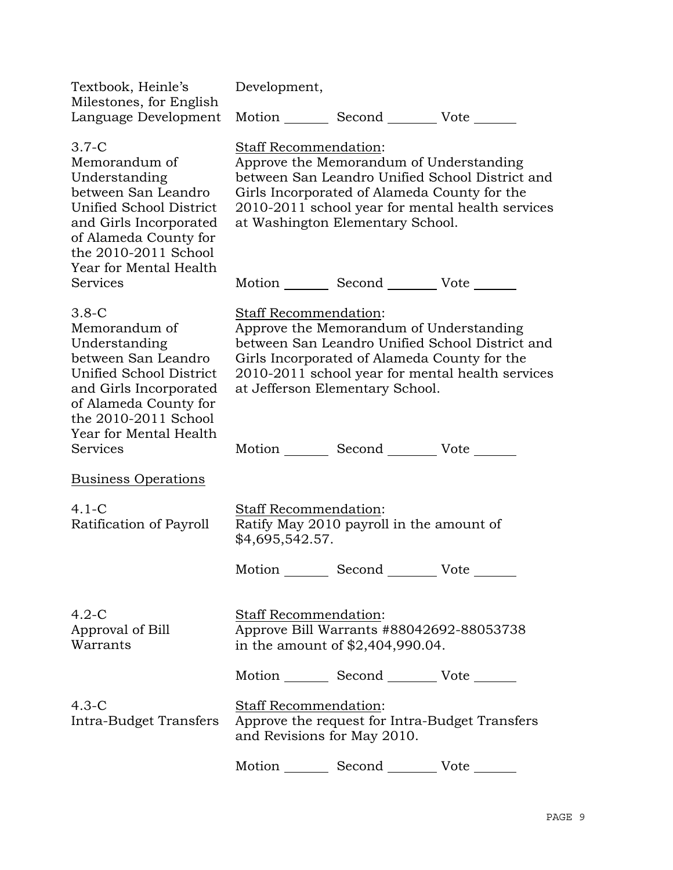| Textbook, Heinle's<br>Milestones, for English                                                                                                                                                    | Development,                                                                                                                                                                                                                                                |  |  |
|--------------------------------------------------------------------------------------------------------------------------------------------------------------------------------------------------|-------------------------------------------------------------------------------------------------------------------------------------------------------------------------------------------------------------------------------------------------------------|--|--|
| Language Development                                                                                                                                                                             | Motion ______ Second _________ Vote _______                                                                                                                                                                                                                 |  |  |
| $3.7-C$<br>Memorandum of<br>Understanding<br>between San Leandro<br>Unified School District<br>and Girls Incorporated<br>of Alameda County for<br>the 2010-2011 School<br>Year for Mental Health | Staff Recommendation:<br>Approve the Memorandum of Understanding<br>between San Leandro Unified School District and<br>Girls Incorporated of Alameda County for the<br>2010-2011 school year for mental health services<br>at Washington Elementary School. |  |  |
| <b>Services</b>                                                                                                                                                                                  | Motion _________ Second __________ Vote _______                                                                                                                                                                                                             |  |  |
| $3.8-C$<br>Memorandum of<br>Understanding<br>between San Leandro<br>Unified School District<br>and Girls Incorporated<br>of Alameda County for<br>the 2010-2011 School<br>Year for Mental Health | Staff Recommendation:<br>Approve the Memorandum of Understanding<br>between San Leandro Unified School District and<br>Girls Incorporated of Alameda County for the<br>2010-2011 school year for mental health services<br>at Jefferson Elementary School.  |  |  |
| Services                                                                                                                                                                                         | Motion _________ Second __________ Vote _______                                                                                                                                                                                                             |  |  |
| <b>Business Operations</b>                                                                                                                                                                       |                                                                                                                                                                                                                                                             |  |  |
| $4.1 - C$<br>Ratification of Payroll                                                                                                                                                             | Staff Recommendation:<br>Ratify May 2010 payroll in the amount of<br>\$4,695,542.57.                                                                                                                                                                        |  |  |
|                                                                                                                                                                                                  | Motion Second Vote                                                                                                                                                                                                                                          |  |  |
| $4.2-C$<br>Approval of Bill<br>Warrants                                                                                                                                                          | Staff Recommendation:<br>Approve Bill Warrants #88042692-88053738<br>in the amount of $$2,404,990.04$ .                                                                                                                                                     |  |  |
|                                                                                                                                                                                                  | Motion _________ Second __________ Vote _______                                                                                                                                                                                                             |  |  |
| $4.3-C$<br>Intra-Budget Transfers                                                                                                                                                                | Staff Recommendation:<br>Approve the request for Intra-Budget Transfers<br>and Revisions for May 2010.                                                                                                                                                      |  |  |
|                                                                                                                                                                                                  | Motion Second Vote                                                                                                                                                                                                                                          |  |  |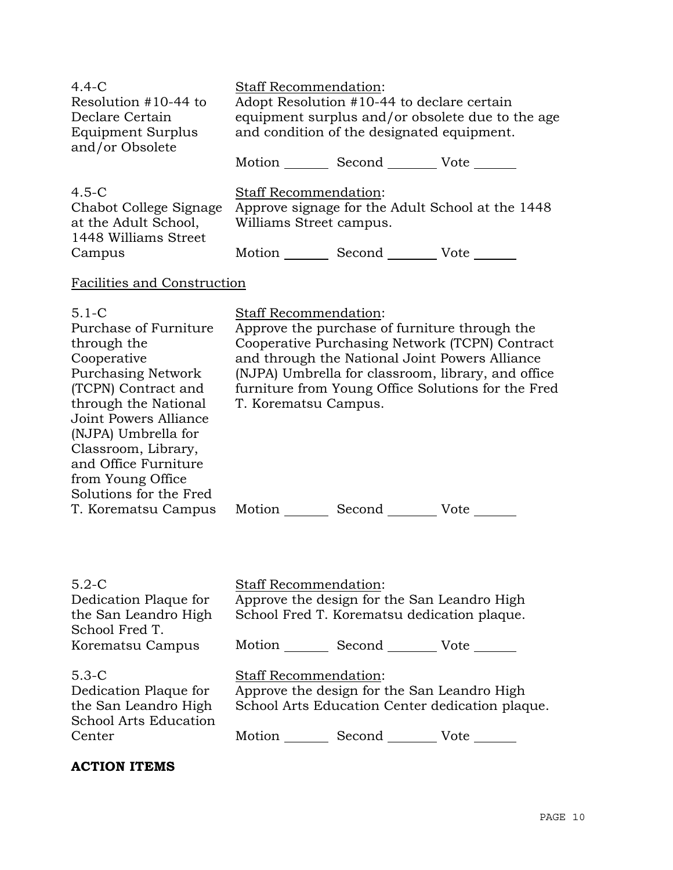| $4.4-C$<br>Resolution $#10-44$ to<br>Declare Certain<br><b>Equipment Surplus</b><br>and/or Obsolete | <b>Staff Recommendation:</b><br>Adopt Resolution #10-44 to declare certain<br>equipment surplus and/or obsolete due to the age<br>and condition of the designated equipment. |        |                                                          |
|-----------------------------------------------------------------------------------------------------|------------------------------------------------------------------------------------------------------------------------------------------------------------------------------|--------|----------------------------------------------------------|
|                                                                                                     | Motion                                                                                                                                                                       | Second | $Vote$ <sub>______</sub>                                 |
| $4.5-C$<br>Chabot College Signage<br>at the Adult School,<br>1448 Williams Street<br>Campus         | <b>Staff Recommendation:</b><br>Williams Street campus.                                                                                                                      | Second | Approve signage for the Adult School at the 1448<br>Vote |

# Facilities and Construction

| $5.1-C$                   | <b>Staff Recommendation:</b> |                                               |                                                    |
|---------------------------|------------------------------|-----------------------------------------------|----------------------------------------------------|
| Purchase of Furniture     |                              | Approve the purchase of furniture through the |                                                    |
| through the               |                              |                                               | Cooperative Purchasing Network (TCPN) Contract     |
| Cooperative               |                              |                                               | and through the National Joint Powers Alliance     |
| <b>Purchasing Network</b> |                              |                                               | (NJPA) Umbrella for classroom, library, and office |
| (TCPN) Contract and       |                              |                                               | furniture from Young Office Solutions for the Fred |
| through the National      | T. Korematsu Campus.         |                                               |                                                    |
| Joint Powers Alliance     |                              |                                               |                                                    |
| (NJPA) Umbrella for       |                              |                                               |                                                    |
| Classroom, Library,       |                              |                                               |                                                    |
| and Office Furniture      |                              |                                               |                                                    |
| from Young Office         |                              |                                               |                                                    |
| Solutions for the Fred    |                              |                                               |                                                    |
| T. Korematsu Campus       | Motion                       | Second                                        | Vote                                               |

| $5.2-C$<br>Dedication Plaque for<br>the San Leandro High<br>School Fred T.                           | <b>Staff Recommendation:</b><br>Approve the design for the San Leandro High<br>School Fred T. Korematsu dedication plaque.                                 |
|------------------------------------------------------------------------------------------------------|------------------------------------------------------------------------------------------------------------------------------------------------------------|
| Korematsu Campus                                                                                     | Motion<br>Second Vote                                                                                                                                      |
| $5.3 - C$<br>Dedication Plaque for<br>the San Leandro High<br><b>School Arts Education</b><br>Center | <b>Staff Recommendation:</b><br>Approve the design for the San Leandro High<br>School Arts Education Center dedication plaque.<br>Motion<br>Second<br>Vote |

## **ACTION ITEMS**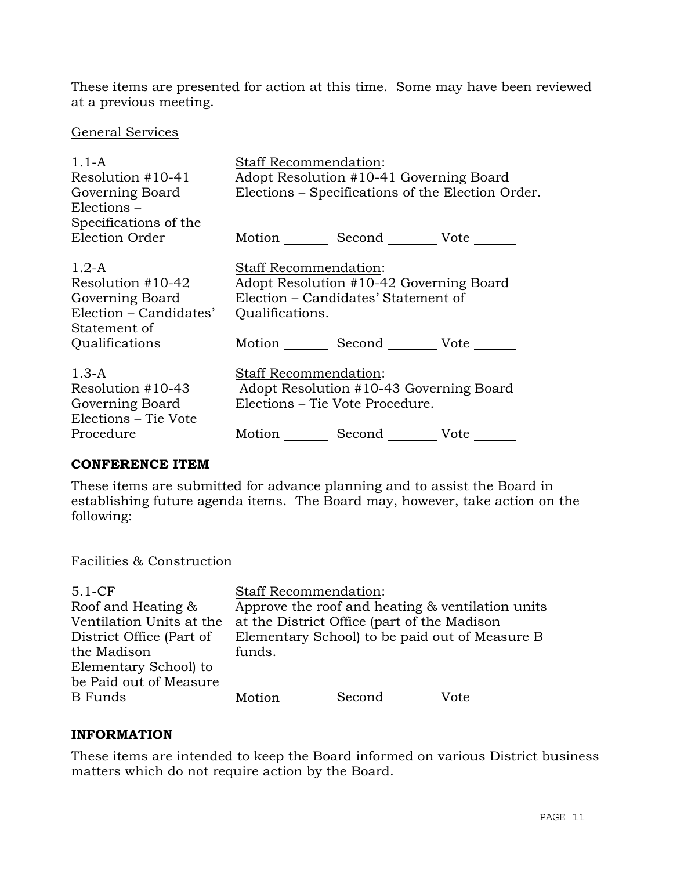These items are presented for action at this time. Some may have been reviewed at a previous meeting.

#### General Services

| $1.1 - A$<br>Resolution $#10-41$<br>Governing Board<br>$Elections -$                                          | Staff Recommendation:<br>Adopt Resolution #10-41 Governing Board<br>Elections – Specifications of the Election Order.                                                         |
|---------------------------------------------------------------------------------------------------------------|-------------------------------------------------------------------------------------------------------------------------------------------------------------------------------|
| Specifications of the<br>Election Order                                                                       | Motion Second Vote                                                                                                                                                            |
| $1.2-A$<br>Resolution $#10-42$<br>Governing Board<br>Election – Candidates'<br>Statement of<br>Qualifications | Staff Recommendation:<br>Adopt Resolution #10-42 Governing Board<br>Election – Candidates' Statement of<br>Qualifications.<br>Motion _________ Second __________ Vote _______ |
| $1.3-A$<br>Resolution $#10-43$<br>Governing Board<br>Elections – Tie Vote<br>Procedure                        | <b>Staff Recommendation:</b><br>Adopt Resolution #10-43 Governing Board<br>Elections – Tie Vote Procedure.<br>Motion Second Vote                                              |

#### **CONFERENCE ITEM**

These items are submitted for advance planning and to assist the Board in establishing future agenda items. The Board may, however, take action on the following:

#### Facilities & Construction

| $5.1-CF$                 | <b>Staff Recommendation:</b> |                                             |                                                  |
|--------------------------|------------------------------|---------------------------------------------|--------------------------------------------------|
| Roof and Heating &       |                              |                                             | Approve the roof and heating & ventilation units |
| Ventilation Units at the |                              | at the District Office (part of the Madison |                                                  |
| District Office (Part of |                              |                                             | Elementary School) to be paid out of Measure B   |
| the Madison              | funds.                       |                                             |                                                  |
| Elementary School) to    |                              |                                             |                                                  |
| be Paid out of Measure   |                              |                                             |                                                  |
| <b>B</b> Funds           | Motion                       | Second                                      | Vote                                             |
|                          |                              |                                             |                                                  |

#### **INFORMATION**

These items are intended to keep the Board informed on various District business matters which do not require action by the Board.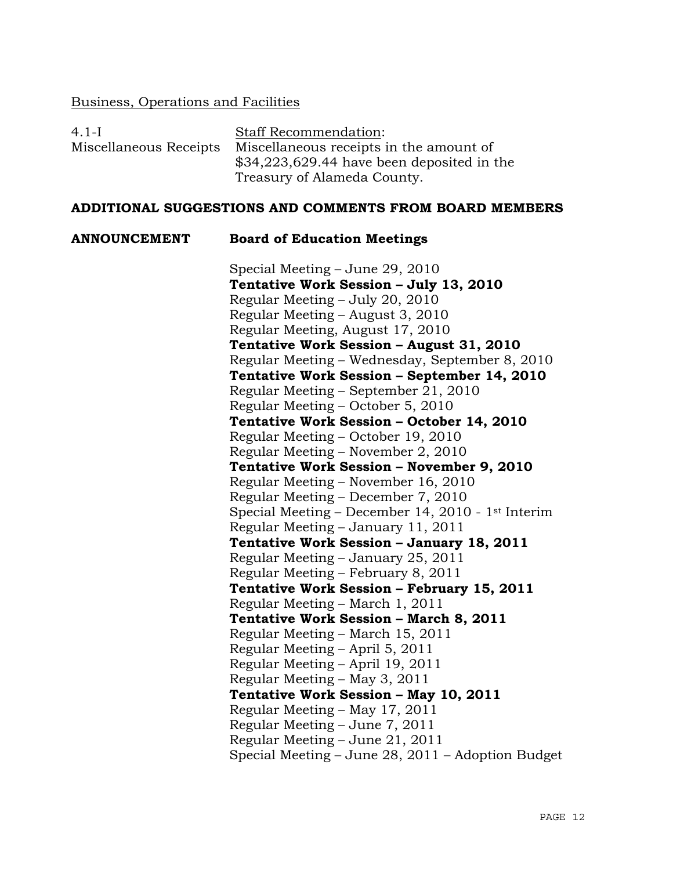#### Business, Operations and Facilities

| $4.1-I$                | <b>Staff Recommendation:</b>                |
|------------------------|---------------------------------------------|
| Miscellaneous Receipts | Miscellaneous receipts in the amount of     |
|                        | $$34,223,629.44$ have been deposited in the |
|                        | Treasury of Alameda County.                 |

#### **ADDITIONAL SUGGESTIONS AND COMMENTS FROM BOARD MEMBERS**

### **ANNOUNCEMENT Board of Education Meetings**

Special Meeting – June 29, 2010 **Tentative Work Session – July 13, 2010**  Regular Meeting – July 20, 2010 Regular Meeting – August 3, 2010 Regular Meeting, August 17, 2010 **Tentative Work Session – August 31, 2010**  Regular Meeting – Wednesday, September 8, 2010 **Tentative Work Session – September 14, 2010**  Regular Meeting – September 21, 2010 Regular Meeting – October 5, 2010 **Tentative Work Session – October 14, 2010**  Regular Meeting – October 19, 2010 Regular Meeting – November 2, 2010 **Tentative Work Session – November 9, 2010**  Regular Meeting – November 16, 2010 Regular Meeting – December 7, 2010 Special Meeting – December 14, 2010 - 1st Interim Regular Meeting – January 11, 2011 **Tentative Work Session – January 18, 2011**  Regular Meeting – January 25, 2011 Regular Meeting – February 8, 2011 **Tentative Work Session – February 15, 2011**  Regular Meeting – March 1, 2011 **Tentative Work Session – March 8, 2011**  Regular Meeting – March 15, 2011 Regular Meeting – April 5, 2011 Regular Meeting – April 19, 2011 Regular Meeting – May 3, 2011 **Tentative Work Session – May 10, 2011**  Regular Meeting – May 17, 2011 Regular Meeting – June 7, 2011 Regular Meeting – June 21, 2011 Special Meeting – June 28, 2011 – Adoption Budget